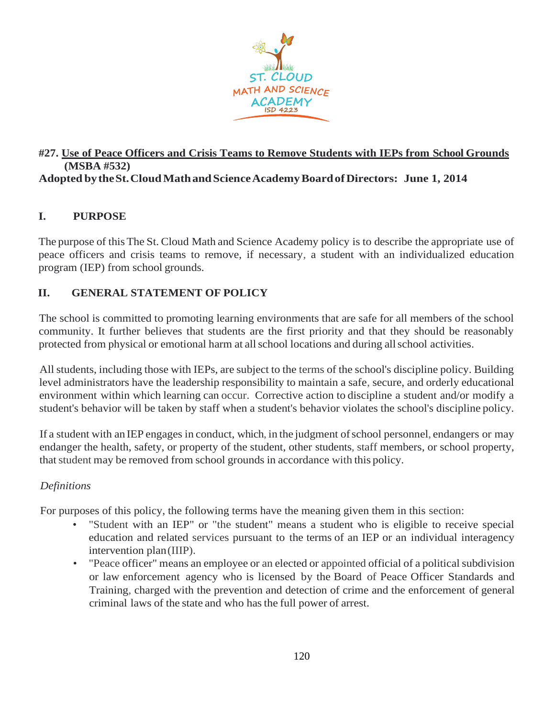

### **#27. Use of Peace Officers and Crisis Teams to Remove Students with IEPs from School Grounds (MSBA #532) Adopted bytheSt.CloudMathandScienceAcademyBoardofDirectors: June 1, 2014**

# **I. PURPOSE**

The purpose of this The St. Cloud Math and Science Academy policy is to describe the appropriate use of peace officers and crisis teams to remove, if necessary, a student with an individualized education program (IEP) from school grounds.

# **II. GENERAL STATEMENT OF POLICY**

The school is committed to promoting learning environments that are safe for all members of the school community. It further believes that students are the first priority and that they should be reasonably protected from physical or emotional harm at allschool locations and during allschool activities.

All students, including those with IEPs, are subject to the terms of the school's discipline policy. Building level administrators have the leadership responsibility to maintain a safe, secure, and orderly educational environment within which learning can occur. Corrective action to discipline a student and/or modify a student's behavior will be taken by staff when a student's behavior violates the school's discipline policy.

If a student with an IEP engages in conduct, which, in the judgment ofschool personnel, endangers or may endanger the health, safety, or property of the student, other students, staff members, or school property, that student may be removed from school grounds in accordance with this policy.

### *Definitions*

For purposes of this policy, the following terms have the meaning given them in this section:

- "Student with an IEP" or "the student" means a student who is eligible to receive special education and related services pursuant to the terms of an IEP or an individual interagency intervention plan(IIIP).
- "Peace officer" means an employee or an elected or appointed official of a political subdivision or law enforcement agency who is licensed by the Board of Peace Officer Standards and Training, charged with the prevention and detection of crime and the enforcement of general criminal laws of the state and who hasthe full power of arrest.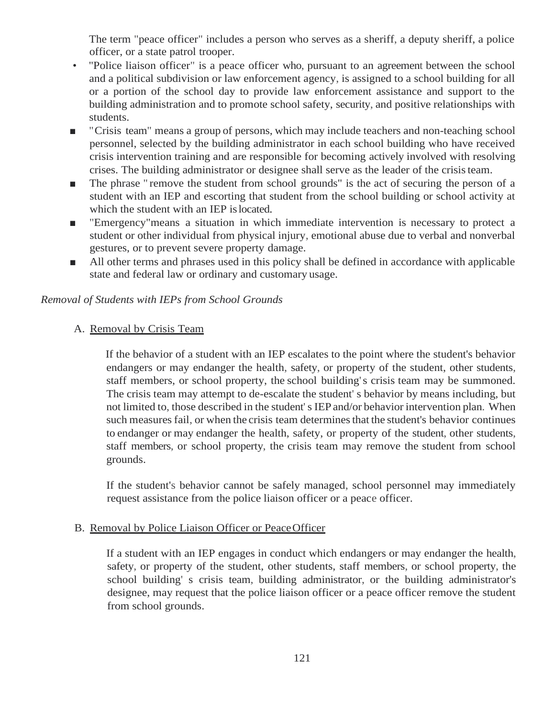The term "peace officer" includes a person who serves as a sheriff, a deputy sheriff, a police officer, or a state patrol trooper.

- "Police liaison officer" is a peace officer who, pursuant to an agreement between the school and a political subdivision or law enforcement agency, is assigned to a school building for all or a portion of the school day to provide law enforcement assistance and support to the building administration and to promote school safety, security, and positive relationships with students.
- "Crisis team" means a group of persons, which may include teachers and non-teaching school personnel, selected by the building administrator in each school building who have received crisis intervention training and are responsible for becoming actively involved with resolving crises. The building administrator or designee shall serve as the leader of the crisisteam.
- The phrase " remove the student from school grounds" is the act of securing the person of a student with an IEP and escorting that student from the school building or school activity at which the student with an IEP islocated.
- "Emergency" means a situation in which immediate intervention is necessary to protect a student or other individual from physical injury, emotional abuse due to verbal and nonverbal gestures, or to prevent severe property damage.
- All other terms and phrases used in this policy shall be defined in accordance with applicable state and federal law or ordinary and customary usage.

## *Removal of Students with IEPs from School Grounds*

# A. Removal by Crisis Team

If the behavior of a student with an IEP escalates to the point where the student's behavior endangers or may endanger the health, safety, or property of the student, other students, staff members, or school property, the school building's crisis team may be summoned. The crisis team may attempt to de-escalate the student' s behavior by means including, but not limited to, those described in the student' s IEPand/or behavior intervention plan. When such measures fail, or when the crisis team determines that the student's behavior continues to endanger or may endanger the health, safety, or property of the student, other students, staff members, or school property, the crisis team may remove the student from school grounds.

If the student's behavior cannot be safely managed, school personnel may immediately request assistance from the police liaison officer or a peace officer.

## B. Removal by Police Liaison Officer or Peace Officer

If a student with an IEP engages in conduct which endangers or may endanger the health, safety, or property of the student, other students, staff members, or school property, the school building' s crisis team, building administrator, or the building administrator's designee, may request that the police liaison officer or a peace officer remove the student from school grounds.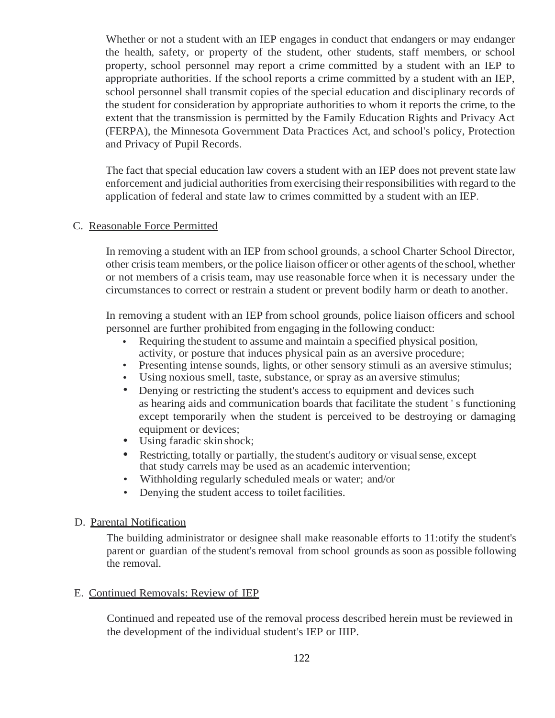Whether or not a student with an IEP engages in conduct that endangers or may endanger the health, safety, or property of the student, other students, staff members, or school property, school personnel may report a crime committed by a student with an IEP to appropriate authorities. If the school reports a crime committed by a student with an IEP, school personnel shall transmit copies of the special education and disciplinary records of the student for consideration by appropriate authorities to whom it reports the crime, to the extent that the transmission is permitted by the Family Education Rights and Privacy Act (FERPA), the Minnesota Government Data Practices Act, and school's policy, Protection and Privacy of Pupil Records.

The fact that special education law covers a student with an IEP does not prevent state law enforcement and judicial authorities from exercising theirresponsibilities with regard to the application of federal and state law to crimes committed by a student with an IEP.

#### C. Reasonable Force Permitted

In removing a student with an IEP from school grounds, a school Charter School Director, other crisisteam members, or the police liaison officer or other agents of the school, whether or not members of a crisis team, may use reasonable force when it is necessary under the circumstances to correct or restrain a student or prevent bodily harm or death to another.

In removing a student with an IEP from school grounds, police liaison officers and school personnel are further prohibited from engaging in the following conduct:

- Requiring the student to assume and maintain a specified physical position, activity, or posture that induces physical pain as an aversive procedure;
- Presenting intense sounds, lights, or other sensory stimuli as an aversive stimulus;
- Using noxious smell, taste, substance, or spray as an aversive stimulus;
- Denying or restricting the student's access to equipment and devices such as hearing aids and communication boards that facilitate the student ' s functioning except temporarily when the student is perceived to be destroying or damaging equipment or devices;
- Using faradic skin shock;
- Restricting, totally or partially, the student's auditory or visualsense, except that study carrels may be used as an academic intervention;
- Withholding regularly scheduled meals or water; and/or
- Denying the student access to toilet facilities.

### D. Parental Notification

The building administrator or designee shall make reasonable efforts to 11:otify the student's parent or guardian of the student's removal from school grounds as soon as possible following the removal.

### E. Continued Removals: Review of IEP

Continued and repeated use of the removal process described herein must be reviewed in the development of the individual student's IEP or IIIP.